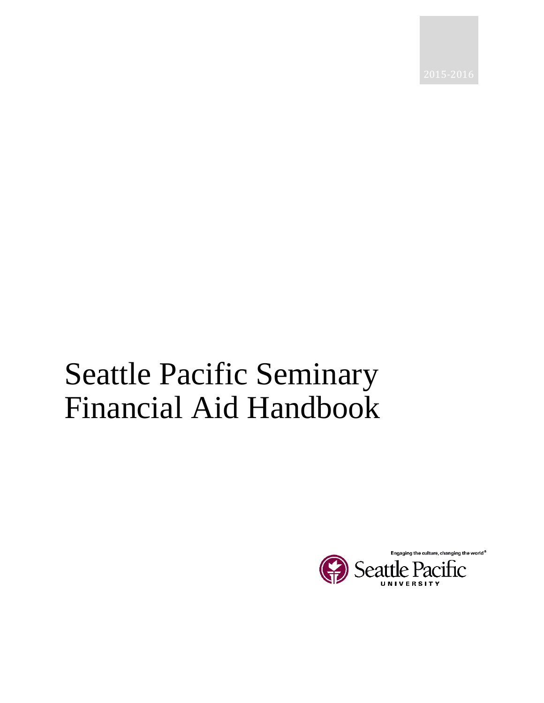# Seattle Pacific Seminary Financial Aid Handbook

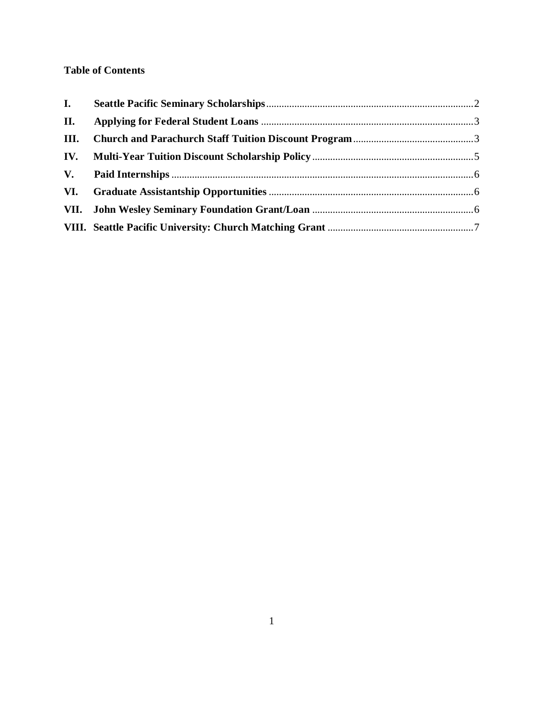## **Table of Contents**

| II. |  |
|-----|--|
|     |  |
|     |  |
|     |  |
|     |  |
|     |  |
|     |  |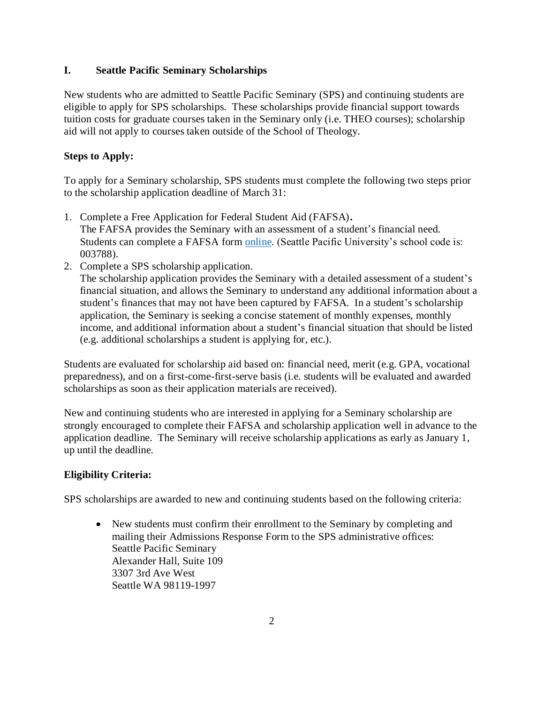#### <span id="page-2-0"></span>**I. Seattle Pacific Seminary Scholarships**

New students who are admitted to Seattle Pacific Seminary (SPS) and continuing students are eligible to apply for SPS scholarships. These scholarships provide financial support towards tuition costs for graduate courses taken in the Seminary only (i.e. THEO courses); scholarship aid will not apply to courses taken outside of the School of Theology.

## **Steps to Apply:**

To apply for a Seminary scholarship, SPS students must complete the following two steps prior to the scholarship application deadline of March 31:

- 1. Complete a Free Application for Federal Student Aid (FAFSA)**.** The FAFSA provides the Seminary with an assessment of a student's financial need. Students can complete a FAFSA form [online.](https://fafsa.ed.gov/) (Seattle Pacific University's school code is: 003788).
- 2. Complete a SPS scholarship application.

The scholarship application provides the Seminary with a detailed assessment of a student's financial situation, and allows the Seminary to understand any additional information about a student's finances that may not have been captured by FAFSA. In a student's scholarship application, the Seminary is seeking a concise statement of monthly expenses, monthly income, and additional information about a student's financial situation that should be listed (e.g. additional scholarships a student is applying for, etc.).

Students are evaluated for scholarship aid based on: financial need, merit (e.g. GPA, vocational preparedness), and on a first-come-first-serve basis (i.e. students will be evaluated and awarded scholarships as soon as their application materials are received).

New and continuing students who are interested in applying for a Seminary scholarship are strongly encouraged to complete their FAFSA and scholarship application well in advance to the application deadline. The Seminary will receive scholarship applications as early as January 1, up until the deadline.

## **Eligibility Criteria:**

SPS scholarships are awarded to new and continuing students based on the following criteria:

 New students must confirm their enrollment to the Seminary by completing and mailing their Admissions Response Form to the SPS administrative offices: Seattle Pacific Seminary Alexander Hall, Suite 109 3307 3rd Ave West Seattle WA 98119-1997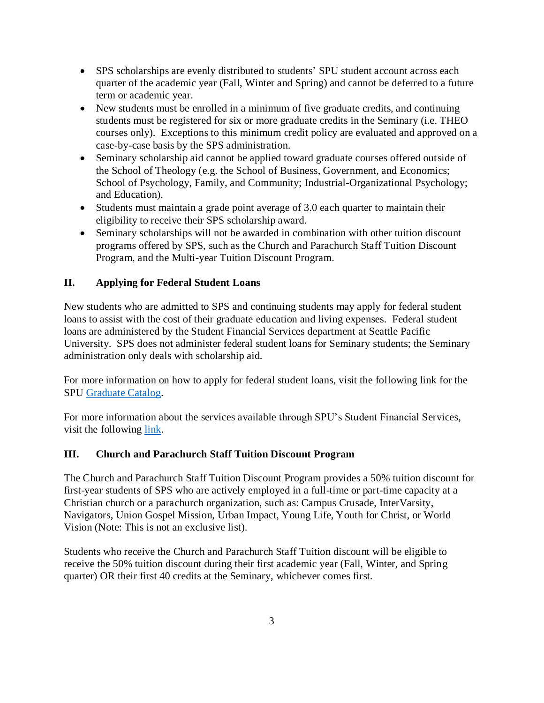- SPS scholarships are evenly distributed to students' SPU student account across each quarter of the academic year (Fall, Winter and Spring) and cannot be deferred to a future term or academic year.
- New students must be enrolled in a minimum of five graduate credits, and continuing students must be registered for six or more graduate credits in the Seminary (i.e. THEO courses only). Exceptions to this minimum credit policy are evaluated and approved on a case-by-case basis by the SPS administration.
- Seminary scholarship aid cannot be applied toward graduate courses offered outside of the School of Theology (e.g. the School of Business, Government, and Economics; School of Psychology, Family, and Community; Industrial-Organizational Psychology; and Education).
- Students must maintain a grade point average of 3.0 each quarter to maintain their eligibility to receive their SPS scholarship award.
- Seminary scholarships will not be awarded in combination with other tuition discount programs offered by SPS, such as the Church and Parachurch Staff Tuition Discount Program, and the Multi-year Tuition Discount Program.

## <span id="page-3-0"></span>**II. Applying for Federal Student Loans**

New students who are admitted to SPS and continuing students may apply for federal student loans to assist with the cost of their graduate education and living expenses. Federal student loans are administered by the Student Financial Services department at Seattle Pacific University. SPS does not administer federal student loans for Seminary students; the Seminary administration only deals with scholarship aid.

For more information on how to apply for federal student loans, visit the following link for the SPU [Graduate Catalog.](http://spu.edu/acad/GRCatalog/20156/financialaid.asp)

For more information about the services available through SPU's Student Financial Services, visit the following [link.](http://spu.edu/depts/sfs)

## <span id="page-3-1"></span>**III. Church and Parachurch Staff Tuition Discount Program**

The Church and Parachurch Staff Tuition Discount Program provides a 50% tuition discount for first-year students of SPS who are actively employed in a full-time or part-time capacity at a Christian church or a parachurch organization, such as: Campus Crusade, InterVarsity, Navigators, Union Gospel Mission, Urban Impact, Young Life, Youth for Christ, or World Vision (Note: This is not an exclusive list).

Students who receive the Church and Parachurch Staff Tuition discount will be eligible to receive the 50% tuition discount during their first academic year (Fall, Winter, and Spring quarter) OR their first 40 credits at the Seminary, whichever comes first.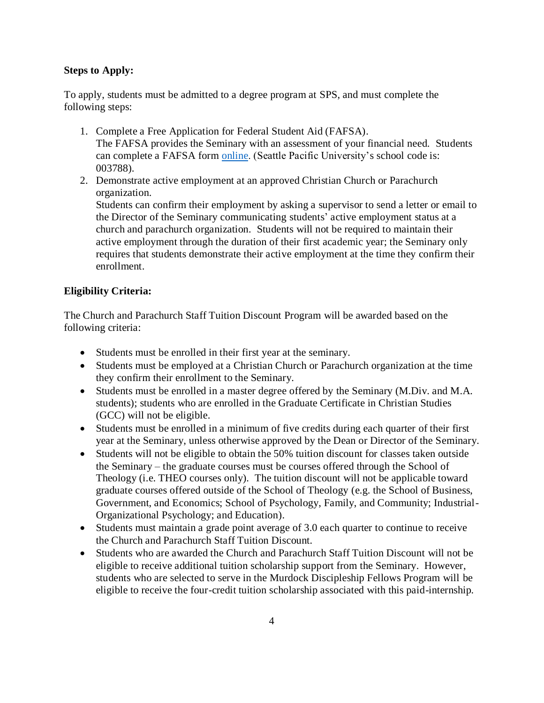#### **Steps to Apply:**

To apply, students must be admitted to a degree program at SPS, and must complete the following steps:

- 1. Complete a Free Application for Federal Student Aid (FAFSA). The FAFSA provides the Seminary with an assessment of your financial need. Students can complete a FAFSA form [online.](https://fafsa.ed.gov/) (Seattle Pacific University's school code is: 003788).
- 2. Demonstrate active employment at an approved Christian Church or Parachurch organization.

Students can confirm their employment by asking a supervisor to send a letter or email to the Director of the Seminary communicating students' active employment status at a church and parachurch organization. Students will not be required to maintain their active employment through the duration of their first academic year; the Seminary only requires that students demonstrate their active employment at the time they confirm their enrollment.

#### **Eligibility Criteria:**

The Church and Parachurch Staff Tuition Discount Program will be awarded based on the following criteria:

- Students must be enrolled in their first year at the seminary.
- Students must be employed at a Christian Church or Parachurch organization at the time they confirm their enrollment to the Seminary.
- Students must be enrolled in a master degree offered by the Seminary (M.Div. and M.A. students); students who are enrolled in the Graduate Certificate in Christian Studies (GCC) will not be eligible.
- Students must be enrolled in a minimum of five credits during each quarter of their first year at the Seminary, unless otherwise approved by the Dean or Director of the Seminary.
- Students will not be eligible to obtain the 50% tuition discount for classes taken outside the Seminary – the graduate courses must be courses offered through the School of Theology (i.e. THEO courses only). The tuition discount will not be applicable toward graduate courses offered outside of the School of Theology (e.g. the School of Business, Government, and Economics; School of Psychology, Family, and Community; Industrial-Organizational Psychology; and Education).
- Students must maintain a grade point average of 3.0 each quarter to continue to receive the Church and Parachurch Staff Tuition Discount*.*
- Students who are awarded the Church and Parachurch Staff Tuition Discount will not be eligible to receive additional tuition scholarship support from the Seminary. However, students who are selected to serve in the Murdock Discipleship Fellows Program will be eligible to receive the four-credit tuition scholarship associated with this paid-internship.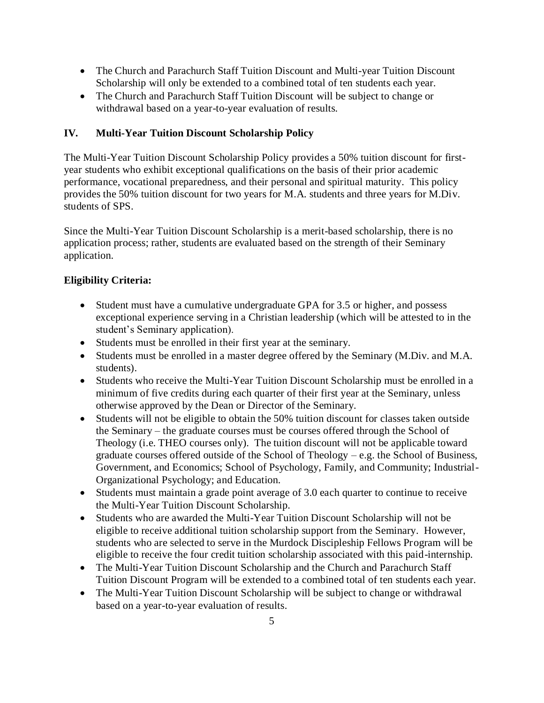- The Church and Parachurch Staff Tuition Discount and Multi-year Tuition Discount Scholarship will only be extended to a combined total of ten students each year.
- The Church and Parachurch Staff Tuition Discount will be subject to change or withdrawal based on a year-to-year evaluation of results.

## <span id="page-5-0"></span>**IV. Multi-Year Tuition Discount Scholarship Policy**

The Multi-Year Tuition Discount Scholarship Policy provides a 50% tuition discount for firstyear students who exhibit exceptional qualifications on the basis of their prior academic performance, vocational preparedness, and their personal and spiritual maturity. This policy provides the 50% tuition discount for two years for M.A. students and three years for M.Div. students of SPS.

Since the Multi-Year Tuition Discount Scholarship is a merit-based scholarship, there is no application process; rather, students are evaluated based on the strength of their Seminary application.

## **Eligibility Criteria:**

- Student must have a cumulative undergraduate GPA for 3.5 or higher, and possess exceptional experience serving in a Christian leadership (which will be attested to in the student's Seminary application).
- Students must be enrolled in their first year at the seminary.
- Students must be enrolled in a master degree offered by the Seminary (M.Div. and M.A. students).
- Students who receive the Multi-Year Tuition Discount Scholarship must be enrolled in a minimum of five credits during each quarter of their first year at the Seminary, unless otherwise approved by the Dean or Director of the Seminary.
- Students will not be eligible to obtain the 50% tuition discount for classes taken outside the Seminary – the graduate courses must be courses offered through the School of Theology (i.e. THEO courses only). The tuition discount will not be applicable toward graduate courses offered outside of the School of Theology – e.g. the School of Business, Government, and Economics; School of Psychology, Family, and Community; Industrial-Organizational Psychology; and Education.
- Students must maintain a grade point average of 3.0 each quarter to continue to receive the Multi-Year Tuition Discount Scholarship.
- Students who are awarded the Multi-Year Tuition Discount Scholarship will not be eligible to receive additional tuition scholarship support from the Seminary. However, students who are selected to serve in the Murdock Discipleship Fellows Program will be eligible to receive the four credit tuition scholarship associated with this paid-internship.
- The Multi-Year Tuition Discount Scholarship and the Church and Parachurch Staff Tuition Discount Program will be extended to a combined total of ten students each year.
- The Multi-Year Tuition Discount Scholarship will be subject to change or withdrawal based on a year-to-year evaluation of results.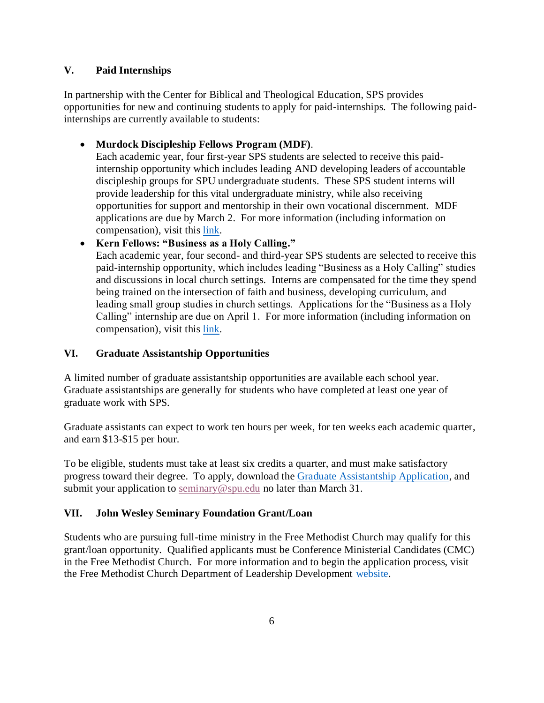#### <span id="page-6-0"></span>**V. Paid Internships**

In partnership with the Center for Biblical and Theological Education, SPS provides opportunities for new and continuing students to apply for paid-internships. The following paidinternships are currently available to students:

## **Murdock Discipleship Fellows Program (MDF)**.

Each academic year, four first-year SPS students are selected to receive this paidinternship opportunity which includes leading AND developing leaders of accountable discipleship groups for SPU undergraduate students. These SPS student interns will provide leadership for this vital undergraduate ministry, while also receiving opportunities for support and mentorship in their own vocational discernment. MDF applications are due by March 2. For more information (including information on compensation), visit this [link.](http://spu.edu/academics/seattle-pacific-seminary/internships/murdock-discipleship-fellows-program)

## **Kern Fellows: "Business as a Holy Calling."**

Each academic year, four second- and third-year SPS students are selected to receive this paid-internship opportunity, which includes leading "Business as a Holy Calling" studies and discussions in local church settings. Interns are compensated for the time they spend being trained on the intersection of faith and business, developing curriculum, and leading small group studies in church settings. Applications for the "Business as a Holy Calling" internship are due on April 1. For more information (including information on compensation), visit this [link.](http://spu.edu/academics/seattle-pacific-seminary/internships/business-as-a-holy-calling)

## <span id="page-6-1"></span>**VI. Graduate Assistantship Opportunities**

A limited number of graduate assistantship opportunities are available each school year. Graduate assistantships are generally for students who have completed at least one year of graduate work with SPS.

Graduate assistants can expect to work ten hours per week, for ten weeks each academic quarter, and earn \$13-\$15 per hour.

To be eligible, students must take at least six credits a quarter, and must make satisfactory progress toward their degree. To apply, download the [Graduate Assistantship Application,](http://spu.edu/academics/seattle-pacific-seminary/financial-aid) and submit your application to [seminary@spu.edu](mailto:seminary@spu.edu) no later than March 31.

#### <span id="page-6-2"></span>**VII. John Wesley Seminary Foundation Grant/Loan**

Students who are pursuing full-time ministry in the Free Methodist Church may qualify for this grant/loan opportunity. Qualified applicants must be Conference Ministerial Candidates (CMC) in the Free Methodist Church. For more information and to begin the application process, visit the Free Methodist Church Department of Leadership Development [website.](http://fmcusa.org/leadership/grants/)